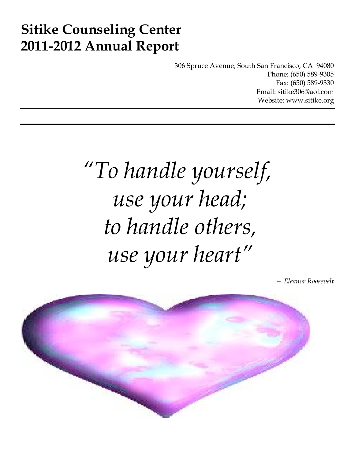# **Sitike Counseling Center 2011-2012 Annual Report**

306 Spruce Avenue, South San Francisco, CA 94080 Phone: (650) 589-9305 Fax: (650) 589-9330 Email: sitike306@aol.com Website: www.sitike.org

# *"To handle yourself, use your head; to handle others, use your heart"*

*— Eleanor Roosevelt*

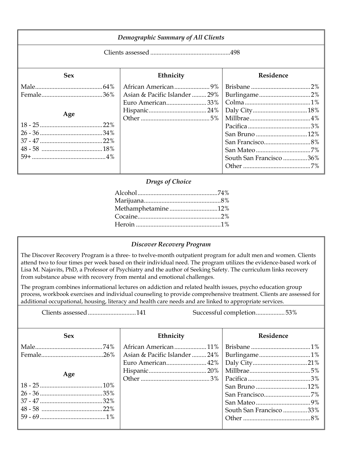| <b>Demographic Summary of All Clients</b> |                                                   |                         |  |
|-------------------------------------------|---------------------------------------------------|-------------------------|--|
|                                           |                                                   |                         |  |
| <b>Sex</b>                                | Ethnicity                                         | <b>Residence</b>        |  |
| Age                                       | Asian & Pacific Islander  29%<br>Euro American33% | South San Francisco 36% |  |

### *Drugs of Choice*

| Methamphetamine12% |  |
|--------------------|--|
|                    |  |
|                    |  |
|                    |  |

### *Discover Recovery Program*

The Discover Recovery Program is a three- to twelve-month outpatient program for adult men and women. Clients attend two to four times per week based on their individual need. The program utilizes the evidence-based work of Lisa M. Najavits, PhD, a Professor of Psychiatry and the author of Seeking Safety. The curriculum links recovery from substance abuse with recovery from mental and emotional challenges.

The program combines informational lectures on addiction and related health issues, psycho education group process, workbook exercises and individual counseling to provide comprehensive treatment. Clients are assessed for additional occupational, housing, literacy and health care needs and are linked to appropriate services.

Clients assessed.............................141 Successful completion..................53%

| <b>Sex</b> | Ethnicity | Residence               |  |
|------------|-----------|-------------------------|--|
|            |           |                         |  |
|            |           |                         |  |
|            |           |                         |  |
|            |           |                         |  |
| Age        |           |                         |  |
|            |           |                         |  |
|            |           |                         |  |
|            |           |                         |  |
|            |           | South San Francisco 33% |  |
|            |           |                         |  |
|            |           |                         |  |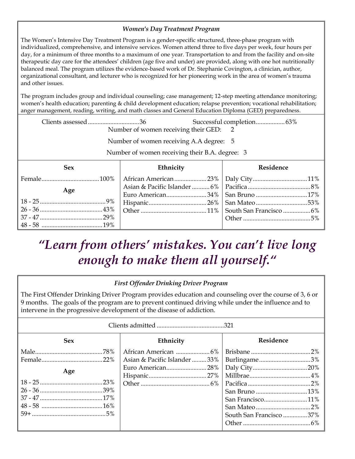## *Women's Day Treatment Program*

The Women's Intensive Day Treatment Program is a gender-specific structured, three-phase program with individualized, comprehensive, and intensive services. Women attend three to five days per week, four hours per day, for a minimum of three months to a maximum of one year. Transportation to and from the facility and on-site therapeutic day care for the attendees' children (age five and under) are provided, along with one hot nutritionally balanced meal. The program utilizes the evidence-based work of Dr. Stephanie Covington, a clinician, author, organizational consultant, and lecturer who is recognized for her pioneering work in the area of women's trauma and other issues.

The program includes group and individual counseling; case management; 12-step meeting attendance monitoring; women's health education; parenting & child development education; relapse prevention; vocational rehabilitation; anger management, reading, writing, and math classes and General Education Diploma (GED) preparedness.

|                                                |  | Number of women receiving their GED: 2  |           |
|------------------------------------------------|--|-----------------------------------------|-----------|
|                                                |  | Number of women receiving A.A degree: 5 |           |
| Number of women receiving their B.A. degree: 3 |  |                                         |           |
| <b>Sex</b>                                     |  | Ethnicity                               | Residence |
|                                                |  |                                         |           |
| Age                                            |  |                                         |           |
|                                                |  |                                         |           |
|                                                |  |                                         |           |
|                                                |  |                                         |           |
|                                                |  |                                         |           |
|                                                |  |                                         |           |

# *"Learn from others' mistakes. You can't live long enough to make them all yourself."*

# *First Offender Drinking Driver Program*

The First Offender Drinking Driver Program provides education and counseling over the course of 3, 6 or 9 months. The goals of the program are to prevent continued driving while under the influence and to intervene in the progressive development of the disease of addiction.

| <b>Sex</b> | Ethnicity<br>Residence       |                         |  |
|------------|------------------------------|-------------------------|--|
|            |                              |                         |  |
|            | Asian & Pacific Islander 33% | Burlingame3%            |  |
|            |                              |                         |  |
| Age        |                              |                         |  |
|            |                              |                         |  |
|            |                              |                         |  |
|            |                              |                         |  |
|            |                              |                         |  |
|            |                              | South San Francisco 37% |  |
|            |                              |                         |  |